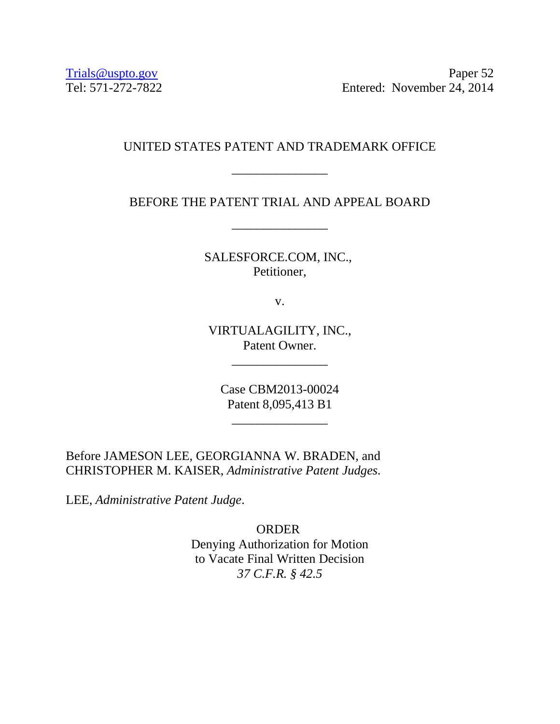Trials @uspto.gov<br>Tel: 571-272-7822 Paper 52<br>Entered: November 24, 2014 Entered: November 24, 2014

## UNITED STATES PATENT AND TRADEMARK OFFICE

\_\_\_\_\_\_\_\_\_\_\_\_\_\_\_

BEFORE THE PATENT TRIAL AND APPEAL BOARD

\_\_\_\_\_\_\_\_\_\_\_\_\_\_\_

SALESFORCE.COM, INC., Petitioner,

v.

VIRTUALAGILITY, INC., Patent Owner.

\_\_\_\_\_\_\_\_\_\_\_\_\_\_\_

Case CBM2013-00024 Patent 8,095,413 B1

\_\_\_\_\_\_\_\_\_\_\_\_\_\_\_

Before JAMESON LEE, GEORGIANNA W. BRADEN, and CHRISTOPHER M. KAISER, *Administrative Patent Judges.*

LEE, *Administrative Patent Judge*.

ORDER Denying Authorization for Motion to Vacate Final Written Decision *37 C.F.R. § 42.5*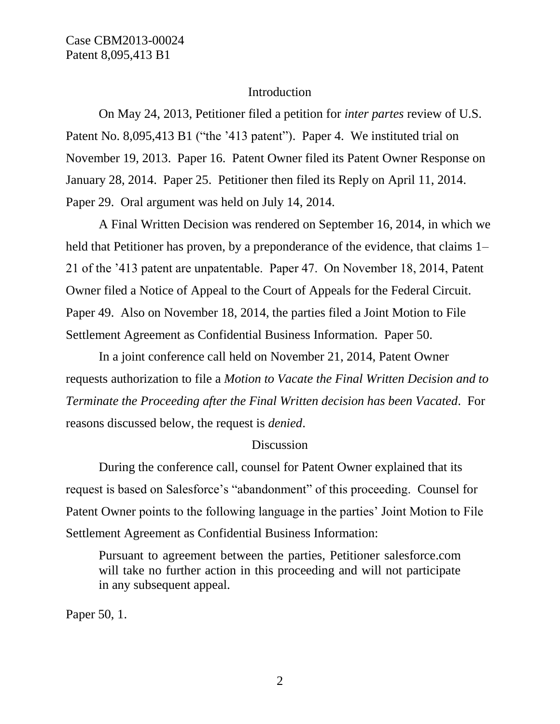Case CBM2013-00024 Patent 8,095,413 B1

#### **Introduction**

On May 24, 2013, Petitioner filed a petition for *inter partes* review of U.S. Patent No. 8,095,413 B1 ("the '413 patent"). Paper 4. We instituted trial on November 19, 2013. Paper 16. Patent Owner filed its Patent Owner Response on January 28, 2014. Paper 25. Petitioner then filed its Reply on April 11, 2014. Paper 29. Oral argument was held on July 14, 2014.

A Final Written Decision was rendered on September 16, 2014, in which we held that Petitioner has proven, by a preponderance of the evidence, that claims 1– 21 of the '413 patent are unpatentable. Paper 47. On November 18, 2014, Patent Owner filed a Notice of Appeal to the Court of Appeals for the Federal Circuit. Paper 49. Also on November 18, 2014, the parties filed a Joint Motion to File Settlement Agreement as Confidential Business Information. Paper 50.

In a joint conference call held on November 21, 2014, Patent Owner requests authorization to file a *Motion to Vacate the Final Written Decision and to Terminate the Proceeding after the Final Written decision has been Vacated*. For reasons discussed below, the request is *denied*.

#### **Discussion**

During the conference call, counsel for Patent Owner explained that its request is based on Salesforce's "abandonment" of this proceeding. Counsel for Patent Owner points to the following language in the parties' Joint Motion to File Settlement Agreement as Confidential Business Information:

Pursuant to agreement between the parties, Petitioner salesforce.com will take no further action in this proceeding and will not participate in any subsequent appeal.

Paper 50, 1.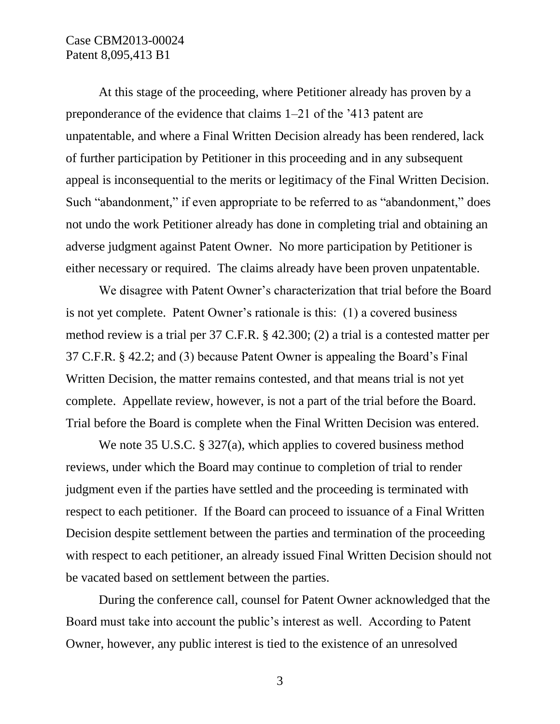#### Case CBM2013-00024 Patent 8,095,413 B1

At this stage of the proceeding, where Petitioner already has proven by a preponderance of the evidence that claims 1–21 of the '413 patent are unpatentable, and where a Final Written Decision already has been rendered, lack of further participation by Petitioner in this proceeding and in any subsequent appeal is inconsequential to the merits or legitimacy of the Final Written Decision. Such "abandonment," if even appropriate to be referred to as "abandonment," does not undo the work Petitioner already has done in completing trial and obtaining an adverse judgment against Patent Owner. No more participation by Petitioner is either necessary or required. The claims already have been proven unpatentable.

We disagree with Patent Owner's characterization that trial before the Board is not yet complete. Patent Owner's rationale is this: (1) a covered business method review is a trial per 37 C.F.R. § 42.300; (2) a trial is a contested matter per 37 C.F.R. § 42.2; and (3) because Patent Owner is appealing the Board's Final Written Decision, the matter remains contested, and that means trial is not yet complete. Appellate review, however, is not a part of the trial before the Board. Trial before the Board is complete when the Final Written Decision was entered.

We note 35 U.S.C. § 327(a), which applies to covered business method reviews, under which the Board may continue to completion of trial to render judgment even if the parties have settled and the proceeding is terminated with respect to each petitioner. If the Board can proceed to issuance of a Final Written Decision despite settlement between the parties and termination of the proceeding with respect to each petitioner, an already issued Final Written Decision should not be vacated based on settlement between the parties.

During the conference call, counsel for Patent Owner acknowledged that the Board must take into account the public's interest as well. According to Patent Owner, however, any public interest is tied to the existence of an unresolved

3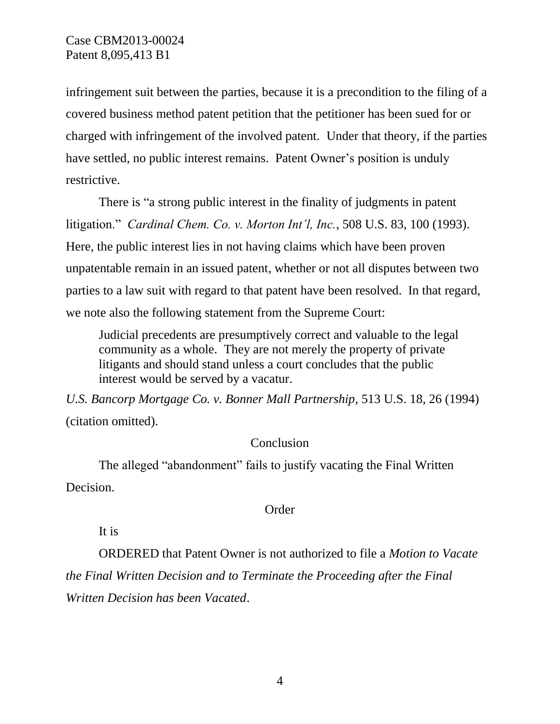infringement suit between the parties, because it is a precondition to the filing of a covered business method patent petition that the petitioner has been sued for or charged with infringement of the involved patent. Under that theory, if the parties have settled, no public interest remains. Patent Owner's position is unduly restrictive.

There is "a strong public interest in the finality of judgments in patent litigation." *Cardinal Chem. Co. v. Morton Int'l, Inc.*, 508 U.S. 83, 100 (1993). Here, the public interest lies in not having claims which have been proven unpatentable remain in an issued patent, whether or not all disputes between two parties to a law suit with regard to that patent have been resolved. In that regard, we note also the following statement from the Supreme Court:

Judicial precedents are presumptively correct and valuable to the legal community as a whole. They are not merely the property of private litigants and should stand unless a court concludes that the public interest would be served by a vacatur.

*U.S. Bancorp Mortgage Co. v. Bonner Mall Partnership*, 513 U.S. 18, 26 (1994) (citation omitted).

### **Conclusion**

The alleged "abandonment" fails to justify vacating the Final Written Decision.

### Order

It is

ORDERED that Patent Owner is not authorized to file a *Motion to Vacate the Final Written Decision and to Terminate the Proceeding after the Final Written Decision has been Vacated*.